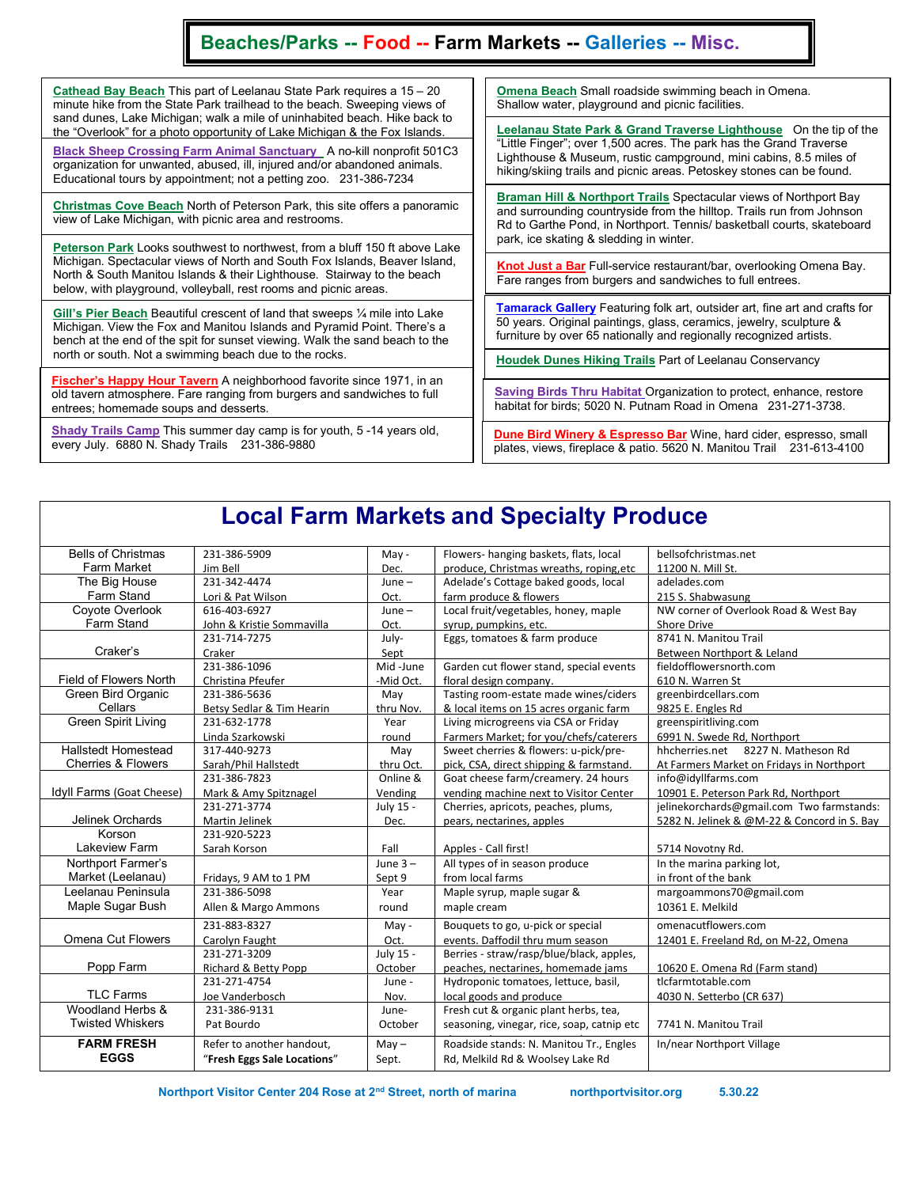## Beaches/Parks -- Food -- Farm Markets -- Galleries -- Misc.

Cathead Bay Beach This part of Leelanau State Park requires a 15 – 20 minute hike from the State Park trailhead to the beach. Sweeping views of sand dunes, Lake Michigan; walk a mile of uninhabited beach. Hike back to the "Overlook" for a photo opportunity of Lake Michigan & the Fox Islands.

Black Sheep Crossing Farm Animal Sanctuary A no-kill nonprofit 501C3 organization for unwanted, abused, ill, injured and/or abandoned animals. Educational tours by appointment; not a petting zoo. 231-386-7234

Christmas Cove Beach North of Peterson Park, this site offers a panoramic view of Lake Michigan, with picnic area and restrooms.

Peterson Park Looks southwest to northwest, from a bluff 150 ft above Lake Michigan. Spectacular views of North and South Fox Islands, Beaver Island, North & South Manitou Islands & their Lighthouse. Stairway to the beach below, with playground, volleyball, rest rooms and picnic areas.

Gill's Pier Beach Beautiful crescent of land that sweeps ¼ mile into Lake Michigan. View the Fox and Manitou Islands and Pyramid Point. There's a bench at the end of the spit for sunset viewing. Walk the sand beach to the north or south. Not a swimming beach due to the rocks.

<u>Fischer's Happy Hour Tavern</u> A neighborhood favorite since 1971, in an old tavern atmosphere. Fare ranging from burgers and sandwiches to full entrees; homemade soups and desserts.

 every July. 6880 N. Shady Trails 231-386-9880 Shady Trails Camp This summer day camp is for youth, 5 -14 years old, **Omena Beach Small roadside swimming beach in Omena.** Shallow water, playground and picnic facilities.

Leelanau State Park & Grand Traverse Lighthouse On the tip of the "Little Finger"; over 1,500 acres. The park has the Grand Traverse Lighthouse & Museum, rustic campground, mini cabins, 8.5 miles of hiking/skiing trails and picnic areas. Petoskey stones can be found.

**Braman Hill & Northport Trails Spectacular views of Northport Bay** and surrounding countryside from the hilltop. Trails run from Johnson Rd to Garthe Pond, in Northport. Tennis/ basketball courts, skateboard park, ice skating & sledding in winter.

Knot Just a Bar Full-service restaurant/bar, overlooking Omena Bay. Fare ranges from burgers and sandwiches to full entrees.

**Tamarack Gallery** Featuring folk art, outsider art, fine art and crafts for 50 years. Original paintings, glass, ceramics, jewelry, sculpture & furniture by over 65 nationally and regionally recognized artists.

Houdek Dunes Hiking Trails Part of Leelanau Conservancy

Saving Birds Thru Habitat Organization to protect, enhance, restore habitat for birds; 5020 N. Putnam Road in Omena 231-271-3738.

**Dune Bird Winery & Espresso Bar** Wine, hard cider, espresso, small plates, views, fireplace & patio. 5620 N. Manitou Trail 231-613-4100

## Local Farm Markets and Specialty Produce

| <b>Bells of Christmas</b>     | 231-386-5909                    | May -      | Flowers- hanging baskets, flats, local     | bellsofchristmas.net                        |
|-------------------------------|---------------------------------|------------|--------------------------------------------|---------------------------------------------|
| Farm Market                   | Jim Bell                        | Dec.       | produce, Christmas wreaths, roping, etc    | 11200 N. Mill St.                           |
| The Big House                 | 231-342-4474                    | $June -$   | Adelade's Cottage baked goods, local       | adelades.com                                |
| Farm Stand                    | Lori & Pat Wilson               | Oct.       | farm produce & flowers                     | 215 S. Shabwasung                           |
| Coyote Overlook               | 616-403-6927                    | $June -$   | Local fruit/vegetables, honey, maple       | NW corner of Overlook Road & West Bay       |
| Farm Stand                    | John & Kristie Sommavilla       | Oct.       | syrup, pumpkins, etc.                      | <b>Shore Drive</b>                          |
|                               | 231-714-7275                    | July-      | Eggs, tomatoes & farm produce              | 8741 N. Manitou Trail                       |
| Craker's                      | Craker                          | Sept       |                                            | Between Northport & Leland                  |
|                               | 231-386-1096                    | Mid-June   | Garden cut flower stand, special events    | fieldofflowersnorth.com                     |
| <b>Field of Flowers North</b> | Christina Pfeufer               | -Mid Oct.  | floral design company.                     | 610 N. Warren St                            |
| Green Bird Organic            | 231-386-5636                    | May        | Tasting room-estate made wines/ciders      | greenbirdcellars.com                        |
| Cellars                       | Betsy Sedlar & Tim Hearin       | thru Nov.  | & local items on 15 acres organic farm     | 9825 E. Engles Rd                           |
| <b>Green Spirit Living</b>    | 231-632-1778                    | Year       | Living microgreens via CSA or Friday       | greenspiritliving.com                       |
|                               | Linda Szarkowski                | round      | Farmers Market; for you/chefs/caterers     | 6991 N. Swede Rd, Northport                 |
| <b>Hallstedt Homestead</b>    | 317-440-9273                    | May        | Sweet cherries & flowers: u-pick/pre-      | hhcherries.net 8227 N. Matheson Rd          |
| <b>Cherries &amp; Flowers</b> | Sarah/Phil Hallstedt            | thru Oct.  | pick, CSA, direct shipping & farmstand.    | At Farmers Market on Fridays in Northport   |
|                               | 231-386-7823                    | Online &   | Goat cheese farm/creamery. 24 hours        | info@idyllfarms.com                         |
| Idyll Farms (Goat Cheese)     | Mark & Amy Spitznagel           | Vending    | vending machine next to Visitor Center     | 10901 E. Peterson Park Rd, Northport        |
|                               | 231-271-3774                    | July 15 -  | Cherries, apricots, peaches, plums,        | jelinekorchards@gmail.com Two farmstands:   |
| <b>Jelinek Orchards</b>       | Martin Jelinek                  | Dec.       | pears, nectarines, apples                  | 5282 N. Jelinek & @M-22 & Concord in S. Bay |
| Korson                        | 231-920-5223                    |            |                                            |                                             |
| <b>Lakeview Farm</b>          | Sarah Korson                    | Fall       | Apples - Call first!                       | 5714 Novotny Rd.                            |
| Northport Farmer's            |                                 | June $3 -$ | All types of in season produce             | In the marina parking lot,                  |
| Market (Leelanau)             | Fridays, 9 AM to 1 PM           | Sept 9     | from local farms                           | in front of the bank                        |
| Leelanau Peninsula            | 231-386-5098                    | Year       | Maple syrup, maple sugar &                 | margoammons70@gmail.com                     |
| Maple Sugar Bush              | Allen & Margo Ammons            | round      | maple cream                                | 10361 E. Melkild                            |
|                               | 231-883-8327                    | May -      | Bouquets to go, u-pick or special          | omenacutflowers.com                         |
| Omena Cut Flowers             | Carolyn Faught                  | Oct.       | events. Daffodil thru mum season           | 12401 E. Freeland Rd, on M-22, Omena        |
|                               | 231-271-3209                    | July 15 -  | Berries - straw/rasp/blue/black, apples,   |                                             |
| Popp Farm                     | <b>Richard &amp; Betty Popp</b> | October    | peaches, nectarines, homemade jams         | 10620 E. Omena Rd (Farm stand)              |
|                               | 231-271-4754                    | June -     | Hydroponic tomatoes, lettuce, basil,       | tlcfarmtotable.com                          |
| <b>TLC Farms</b>              | Joe Vanderbosch                 | Nov.       | local goods and produce                    | 4030 N. Setterbo (CR 637)                   |
| Woodland Herbs &              |                                 |            |                                            |                                             |
|                               | 231-386-9131                    | June-      | Fresh cut & organic plant herbs, tea,      |                                             |
| <b>Twisted Whiskers</b>       | Pat Bourdo                      | October    | seasoning, vinegar, rice, soap, catnip etc | 7741 N. Manitou Trail                       |
| <b>FARM FRESH</b>             | Refer to another handout,       | $May -$    | Roadside stands: N. Manitou Tr., Engles    | In/near Northport Village                   |